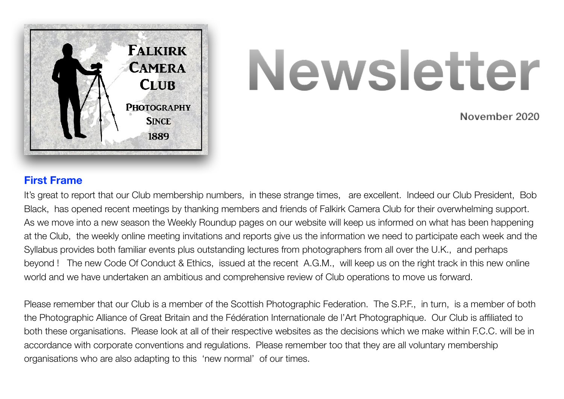

# **Newsletter**

 **November 2020**

## **First Frame**

It's great to report that our Club membership numbers, in these strange times, are excellent. Indeed our Club President, Bob Black, has opened recent meetings by thanking members and friends of Falkirk Camera Club for their overwhelming support. As we move into a new season the Weekly Roundup pages on our website will keep us informed on what has been happening at the Club, the weekly online meeting invitations and reports give us the information we need to participate each week and the Syllabus provides both familiar events plus outstanding lectures from photographers from all over the U.K., and perhaps beyond ! The new Code Of Conduct & Ethics, issued at the recent A.G.M., will keep us on the right track in this new online world and we have undertaken an ambitious and comprehensive review of Club operations to move us forward.

Please remember that our Club is a member of the Scottish Photographic Federation. The S.P.F., in turn, is a member of both the Photographic Alliance of Great Britain and the Fédération Internationale de l'Art Photographique. Our Club is affiliated to both these organisations. Please look at all of their respective websites as the decisions which we make within F.C.C. will be in accordance with corporate conventions and regulations. Please remember too that they are all voluntary membership organisations who are also adapting to this 'new normal' of our times.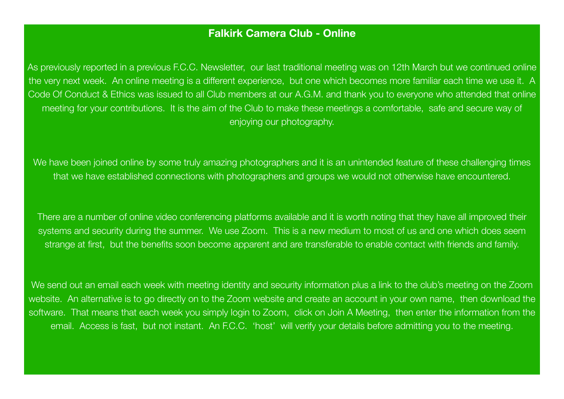#### **Falkirk Camera Club - Online**

As previously reported in a previous F.C.C. Newsletter, our last traditional meeting was on 12th March but we continued online the very next week. An online meeting is a different experience, but one which becomes more familiar each time we use it. A Code Of Conduct & Ethics was issued to all Club members at our A.G.M. and thank you to everyone who attended that online meeting for your contributions. It is the aim of the Club to make these meetings a comfortable, safe and secure way of enjoying our photography.

We have been joined online by some truly amazing photographers and it is an unintended feature of these challenging times that we have established connections with photographers and groups we would not otherwise have encountered.

There are a number of online video conferencing platforms available and it is worth noting that they have all improved their systems and security during the summer. We use Zoom. This is a new medium to most of us and one which does seem strange at first, but the benefits soon become apparent and are transferable to enable contact with friends and family.

We send out an email each week with meeting identity and security information plus a link to the club's meeting on the Zoom website. An alternative is to go directly on to the Zoom website and create an account in your own name, then download the software. That means that each week you simply login to Zoom, click on Join A Meeting, then enter the information from the email. Access is fast, but not instant. An F.C.C. 'host' will verify your details before admitting you to the meeting.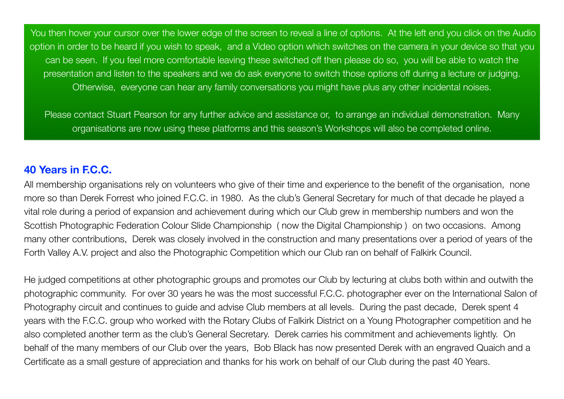You then hover your cursor over the lower edge of the screen to reveal a line of options. At the left end you click on the Audio option in order to be heard if you wish to speak, and a Video option which switches on the camera in your device so that you can be seen. If you feel more comfortable leaving these switched off then please do so, you will be able to watch the presentation and listen to the speakers and we do ask everyone to switch those options off during a lecture or judging. Otherwise, everyone can hear any family conversations you might have plus any other incidental noises.

Please contact Stuart Pearson for any further advice and assistance or, to arrange an individual demonstration. Many organisations are now using these platforms and this season's Workshops will also be completed online.

# **40 Years in F.C.C.**

All membership organisations rely on volunteers who give of their time and experience to the benefit of the organisation, none more so than Derek Forrest who joined F.C.C. in 1980. As the club's General Secretary for much of that decade he played a vital role during a period of expansion and achievement during which our Club grew in membership numbers and won the Scottish Photographic Federation Colour Slide Championship ( now the Digital Championship ) on two occasions. Among many other contributions, Derek was closely involved in the construction and many presentations over a period of years of the Forth Valley A.V. project and also the Photographic Competition which our Club ran on behalf of Falkirk Council.

He judged competitions at other photographic groups and promotes our Club by lecturing at clubs both within and outwith the photographic community. For over 30 years he was the most successful F.C.C. photographer ever on the International Salon of Photography circuit and continues to guide and advise Club members at all levels. During the past decade, Derek spent 4 years with the F.C.C. group who worked with the Rotary Clubs of Falkirk District on a Young Photographer competition and he also completed another term as the club's General Secretary. Derek carries his commitment and achievements lightly. On behalf of the many members of our Club over the years, Bob Black has now presented Derek with an engraved Quaich and a Certificate as a small gesture of appreciation and thanks for his work on behalf of our Club during the past 40 Years.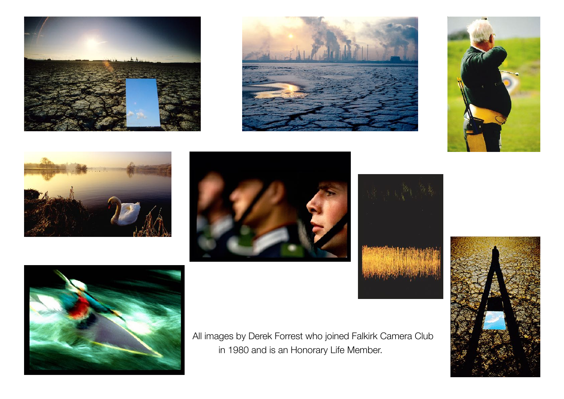













All images by Derek Forrest who joined Falkirk Camera Club in 1980 and is an Honorary Life Member.

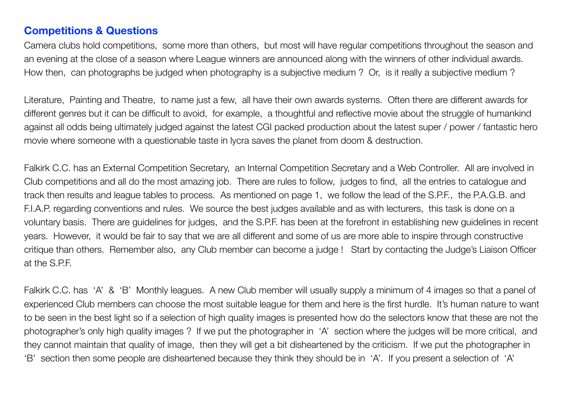### **Competitions & Questions**

Camera clubs hold competitions, some more than others, but most will have regular competitions throughout the season and an evening at the close of a season where League winners are announced along with the winners of other individual awards. How then, can photographs be judged when photography is a subjective medium ? Or, is it really a subjective medium ?

Literature, Painting and Theatre, to name just a few, all have their own awards systems. Often there are different awards for different genres but it can be difficult to avoid, for example, a thoughtful and reflective movie about the struggle of humankind against all odds being ultimately judged against the latest CGI packed production about the latest super / power / fantastic hero movie where someone with a questionable taste in lycra saves the planet from doom & destruction.

Falkirk C.C. has an External Competition Secretary, an Internal Competition Secretary and a Web Controller. All are involved in Club competitions and all do the most amazing job. There are rules to follow, judges to find, all the entries to catalogue and track then results and league tables to process. As mentioned on page 1, we follow the lead of the S.P.F., the P.A.G.B. and F.I.A.P. regarding conventions and rules. We source the best judges available and as with lecturers, this task is done on a voluntary basis. There are guidelines for judges, and the S.P.F. has been at the forefront in establishing new guidelines in recent years. However, it would be fair to say that we are all different and some of us are more able to inspire through constructive critique than others. Remember also, any Club member can become a judge ! Start by contacting the Judge's Liaison Officer at the S.P.F.

Falkirk C.C. has 'A' & 'B' Monthly leagues. A new Club member will usually supply a minimum of 4 images so that a panel of experienced Club members can choose the most suitable league for them and here is the first hurdle. It's human nature to want to be seen in the best light so if a selection of high quality images is presented how do the selectors know that these are not the photographer's only high quality images ? If we put the photographer in 'A' section where the judges will be more critical, and they cannot maintain that quality of image, then they will get a bit disheartened by the criticism. If we put the photographer in 'B' section then some people are disheartened because they think they should be in 'A'. If you present a selection of 'A'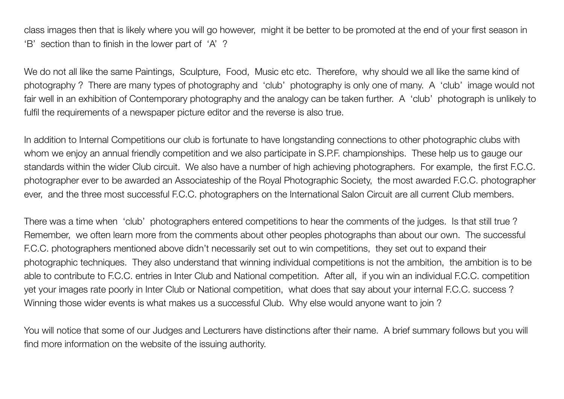class images then that is likely where you will go however, might it be better to be promoted at the end of your first season in 'B' section than to finish in the lower part of 'A' ?

We do not all like the same Paintings, Sculpture, Food, Music etc etc. Therefore, why should we all like the same kind of photography ? There are many types of photography and 'club' photography is only one of many. A 'club' image would not fair well in an exhibition of Contemporary photography and the analogy can be taken further. A 'club' photograph is unlikely to fulfil the requirements of a newspaper picture editor and the reverse is also true.

In addition to Internal Competitions our club is fortunate to have longstanding connections to other photographic clubs with whom we enjoy an annual friendly competition and we also participate in S.P.F. championships. These help us to gauge our standards within the wider Club circuit. We also have a number of high achieving photographers. For example, the first F.C.C. photographer ever to be awarded an Associateship of the Royal Photographic Society, the most awarded F.C.C. photographer ever, and the three most successful F.C.C. photographers on the International Salon Circuit are all current Club members.

There was a time when 'club' photographers entered competitions to hear the comments of the judges. Is that still true ? Remember, we often learn more from the comments about other peoples photographs than about our own. The successful F.C.C. photographers mentioned above didn't necessarily set out to win competitions, they set out to expand their photographic techniques. They also understand that winning individual competitions is not the ambition, the ambition is to be able to contribute to F.C.C. entries in Inter Club and National competition. After all, if you win an individual F.C.C. competition yet your images rate poorly in Inter Club or National competition, what does that say about your internal F.C.C. success ? Winning those wider events is what makes us a successful Club. Why else would anyone want to join ?

You will notice that some of our Judges and Lecturers have distinctions after their name. A brief summary follows but you will find more information on the website of the issuing authority.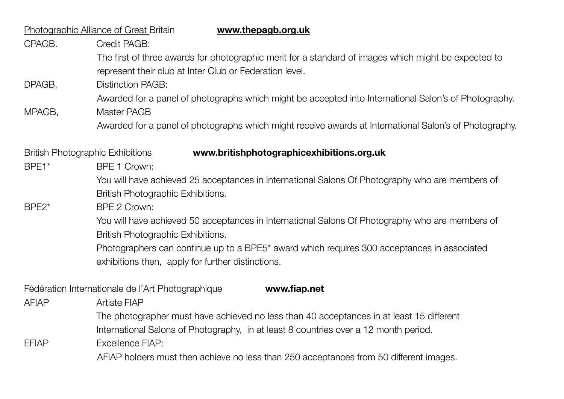| <b>Photographic Alliance of Great Britain</b><br>www.thepagb.org.uk |                                                                                                                                                              |  |
|---------------------------------------------------------------------|--------------------------------------------------------------------------------------------------------------------------------------------------------------|--|
| CPAGB.                                                              | Credit PAGB:                                                                                                                                                 |  |
|                                                                     | The first of three awards for photographic merit for a standard of images which might be expected to                                                         |  |
|                                                                     | represent their club at Inter Club or Federation level.                                                                                                      |  |
| DPAGB,                                                              | <b>Distinction PAGB:</b>                                                                                                                                     |  |
|                                                                     | Awarded for a panel of photographs which might be accepted into International Salon's of Photography.                                                        |  |
| MPAGB,                                                              | Master PAGB                                                                                                                                                  |  |
|                                                                     | Awarded for a panel of photographs which might receive awards at International Salon's of Photography.                                                       |  |
|                                                                     |                                                                                                                                                              |  |
| <b>British Photographic Exhibitions</b>                             | www.britishphotographicexhibitions.org.uk                                                                                                                    |  |
| BPE1*                                                               | BPE 1 Crown:                                                                                                                                                 |  |
|                                                                     | You will have achieved 25 acceptances in International Salons Of Photography who are members of                                                              |  |
|                                                                     | British Photographic Exhibitions.                                                                                                                            |  |
| BPE <sub>2</sub> *                                                  | BPE 2 Crown:                                                                                                                                                 |  |
|                                                                     | You will have achieved 50 acceptances in International Salons Of Photography who are members of                                                              |  |
|                                                                     | British Photographic Exhibitions.                                                                                                                            |  |
|                                                                     | Photographers can continue up to a BPE5 <sup>*</sup> award which requires 300 acceptances in associated<br>exhibitions then, apply for further distinctions. |  |
|                                                                     |                                                                                                                                                              |  |
| Fédération Internationale de l'Art Photographique<br>www.fiap.net   |                                                                                                                                                              |  |
| <b>AFIAP</b>                                                        | <b>Artiste FIAP</b>                                                                                                                                          |  |
|                                                                     | The photographer must have achieved no less than 40 acceptances in at least 15 different                                                                     |  |
|                                                                     | International Salons of Photography, in at least 8 countries over a 12 month period.                                                                         |  |
| <b>EFIAP</b>                                                        | Excellence FIAP:                                                                                                                                             |  |
|                                                                     | AFIAP holders must then achieve no less than 250 acceptances from 50 different images.                                                                       |  |
|                                                                     |                                                                                                                                                              |  |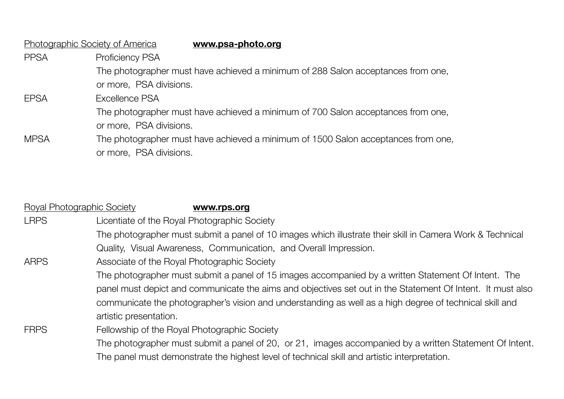| Photographic Society of America | www.psa-photo.org                                                                 |
|---------------------------------|-----------------------------------------------------------------------------------|
| <b>PPSA</b>                     | <b>Proficiency PSA</b>                                                            |
|                                 | The photographer must have achieved a minimum of 288 Salon acceptances from one,  |
|                                 | or more, PSA divisions.                                                           |
| <b>EPSA</b>                     | Excellence PSA                                                                    |
|                                 | The photographer must have achieved a minimum of 700 Salon acceptances from one,  |
|                                 | or more, PSA divisions.                                                           |
| <b>MPSA</b>                     | The photographer must have achieved a minimum of 1500 Salon acceptances from one, |
|                                 | or more, PSA divisions.                                                           |

| <b>Royal Photographic Society</b> | www.rps.org                                                                                                |
|-----------------------------------|------------------------------------------------------------------------------------------------------------|
| <b>LRPS</b>                       | Licentiate of the Royal Photographic Society                                                               |
| <b>ARPS</b>                       | The photographer must submit a panel of 10 images which illustrate their skill in Camera Work & Technical  |
|                                   | Quality, Visual Awareness, Communication, and Overall Impression.                                          |
|                                   | Associate of the Royal Photographic Society                                                                |
|                                   | The photographer must submit a panel of 15 images accompanied by a written Statement Of Intent. The        |
|                                   | panel must depict and communicate the aims and objectives set out in the Statement Of Intent. It must also |
|                                   | communicate the photographer's vision and understanding as well as a high degree of technical skill and    |
|                                   | artistic presentation.                                                                                     |
| <b>FRPS</b>                       | Fellowship of the Royal Photographic Society                                                               |
|                                   | The photographer must submit a panel of 20, or 21, images accompanied by a written Statement Of Intent.    |
|                                   | The panel must demonstrate the highest level of technical skill and artistic interpretation.               |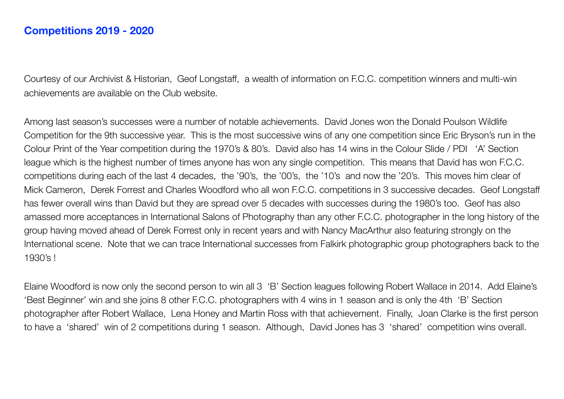Courtesy of our Archivist & Historian, Geof Longstaff, a wealth of information on F.C.C. competition winners and multi-win achievements are available on the Club website.

Among last season's successes were a number of notable achievements. David Jones won the Donald Poulson Wildlife Competition for the 9th successive year. This is the most successive wins of any one competition since Eric Bryson's run in the Colour Print of the Year competition during the 1970's & 80's. David also has 14 wins in the Colour Slide / PDI 'A' Section league which is the highest number of times anyone has won any single competition. This means that David has won F.C.C. competitions during each of the last 4 decades, the '90's, the '00's, the '10's and now the '20's. This moves him clear of Mick Cameron, Derek Forrest and Charles Woodford who all won F.C.C. competitions in 3 successive decades. Geof Longstaff has fewer overall wins than David but they are spread over 5 decades with successes during the 1980's too. Geof has also amassed more acceptances in International Salons of Photography than any other F.C.C. photographer in the long history of the group having moved ahead of Derek Forrest only in recent years and with Nancy MacArthur also featuring strongly on the International scene. Note that we can trace International successes from Falkirk photographic group photographers back to the 1930's !

Elaine Woodford is now only the second person to win all 3 'B' Section leagues following Robert Wallace in 2014. Add Elaine's 'Best Beginner' win and she joins 8 other F.C.C. photographers with 4 wins in 1 season and is only the 4th 'B' Section photographer after Robert Wallace, Lena Honey and Martin Ross with that achievement. Finally, Joan Clarke is the first person to have a 'shared' win of 2 competitions during 1 season. Although, David Jones has 3 'shared' competition wins overall.